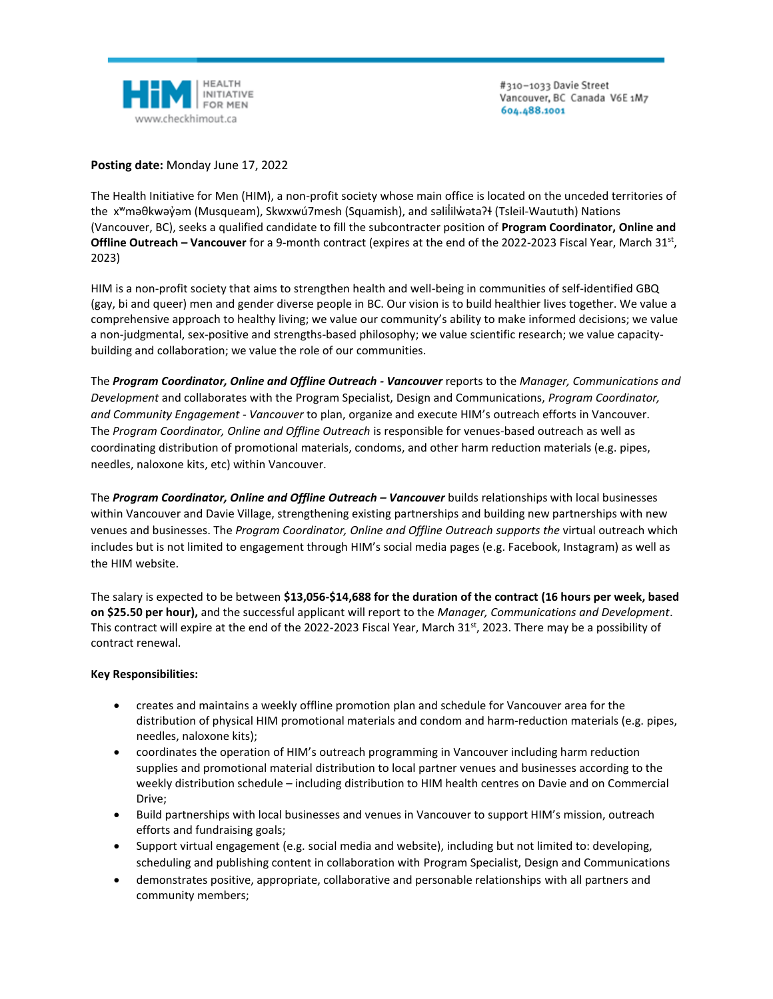

#310-1033 Davie Street Vancouver, BC Canada V6E 1M7 604.488.1001

**Posting date:** Monday June 17, 2022

The Health Initiative for Men (HIM), a non-profit society whose main office is located on the unceded territories of the x<sup>w</sup>məθkwəy̓əm (Musqueam), Skwxwú7mesh (Squamish), and səlililwətaʔɬ (Tsleil-Waututh) Nations (Vancouver, BC), seeks a qualified candidate to fill the subcontracter position of **Program Coordinator, Online and**  Offline Outreach – Vancouver for a 9-month contract (expires at the end of the 2022-2023 Fiscal Year, March 31st, 2023)

HIM is a non-profit society that aims to strengthen health and well-being in communities of self-identified GBQ (gay, bi and queer) men and gender diverse people in BC. Our vision is to build healthier lives together. We value a comprehensive approach to healthy living; we value our community's ability to make informed decisions; we value a non-judgmental, sex-positive and strengths-based philosophy; we value scientific research; we value capacitybuilding and collaboration; we value the role of our communities.

The *Program Coordinator, Online and Offline Outreach - Vancouver* reports to the *Manager, Communications and Development* and collaborates with the Program Specialist, Design and Communications, *Program Coordinator, and Community Engagement - Vancouver* to plan, organize and execute HIM's outreach efforts in Vancouver. The *Program Coordinator, Online and Offline Outreach* is responsible for venues-based outreach as well as coordinating distribution of promotional materials, condoms, and other harm reduction materials (e.g. pipes, needles, naloxone kits, etc) within Vancouver.

The *Program Coordinator, Online and Offline Outreach – Vancouver* builds relationships with local businesses within Vancouver and Davie Village, strengthening existing partnerships and building new partnerships with new venues and businesses. The *Program Coordinator, Online and Offline Outreach supports the* virtual outreach which includes but is not limited to engagement through HIM's social media pages (e.g. Facebook, Instagram) as well as the HIM website.

The salary is expected to be between **\$13,056-\$14,688 for the duration of the contract (16 hours per week, based on \$25.50 per hour),** and the successful applicant will report to the *Manager, Communications and Development*. This contract will expire at the end of the 2022-2023 Fiscal Year, March 31st, 2023. There may be a possibility of contract renewal.

# **Key Responsibilities:**

- creates and maintains a weekly offline promotion plan and schedule for Vancouver area for the distribution of physical HIM promotional materials and condom and harm-reduction materials (e.g. pipes, needles, naloxone kits);
- coordinates the operation of HIM's outreach programming in Vancouver including harm reduction supplies and promotional material distribution to local partner venues and businesses according to the weekly distribution schedule – including distribution to HIM health centres on Davie and on Commercial Drive;
- Build partnerships with local businesses and venues in Vancouver to support HIM's mission, outreach efforts and fundraising goals;
- Support virtual engagement (e.g. social media and website), including but not limited to: developing, scheduling and publishing content in collaboration with Program Specialist, Design and Communications
- demonstrates positive, appropriate, collaborative and personable relationships with all partners and community members;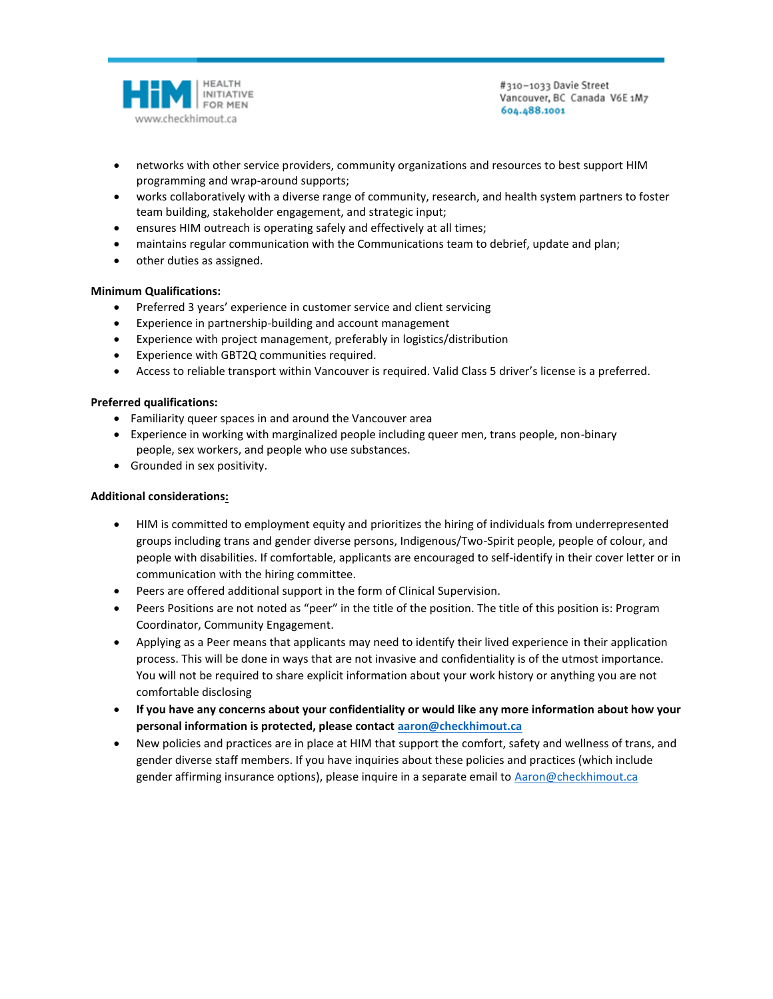

#310-1033 Davie Street Vancouver, BC Canada V6E 1M7 604.488.1001

- networks with other service providers, community organizations and resources to best support HIM programming and wrap-around supports;
- works collaboratively with a diverse range of community, research, and health system partners to foster team building, stakeholder engagement, and strategic input;
- ensures HIM outreach is operating safely and effectively at all times;
- maintains regular communication with the Communications team to debrief, update and plan;
- other duties as assigned.

# **Minimum Qualifications:**

- Preferred 3 years' experience in customer service and client servicing
- Experience in partnership-building and account management
- Experience with project management, preferably in logistics/distribution
- Experience with GBT2Q communities required.
- Access to reliable transport within Vancouver is required. Valid Class 5 driver's license is a preferred.

# **Preferred qualifications:**

- Familiarity queer spaces in and around the Vancouver area
- Experience in working with marginalized people including queer men, trans people, non-binary people, sex workers, and people who use substances.
- Grounded in sex positivity.

### **Additional considerations:**

- HIM is committed to employment equity and prioritizes the hiring of individuals from underrepresented groups including trans and gender diverse persons, Indigenous/Two-Spirit people, people of colour, and people with disabilities. If comfortable, applicants are encouraged to self-identify in their cover letter or in communication with the hiring committee.
- Peers are offered additional support in the form of Clinical Supervision.
- Peers Positions are not noted as "peer" in the title of the position. The title of this position is: Program Coordinator, Community Engagement.
- Applying as a Peer means that applicants may need to identify their lived experience in their application process. This will be done in ways that are not invasive and confidentiality is of the utmost importance. You will not be required to share explicit information about your work history or anything you are not comfortable disclosing
- **If you have any concerns about your confidentiality or would like any more information about how your personal information is protected, please contact [aaron@checkhimout.ca](mailto:aaron@checkhimout.ca)**
- New policies and practices are in place at HIM that support the comfort, safety and wellness of trans, and gender diverse staff members. If you have inquiries about these policies and practices (which include gender affirming insurance options), please inquire in a separate email to [Aaron@checkhimout.ca](mailto:Aaron@checkhimout.ca)